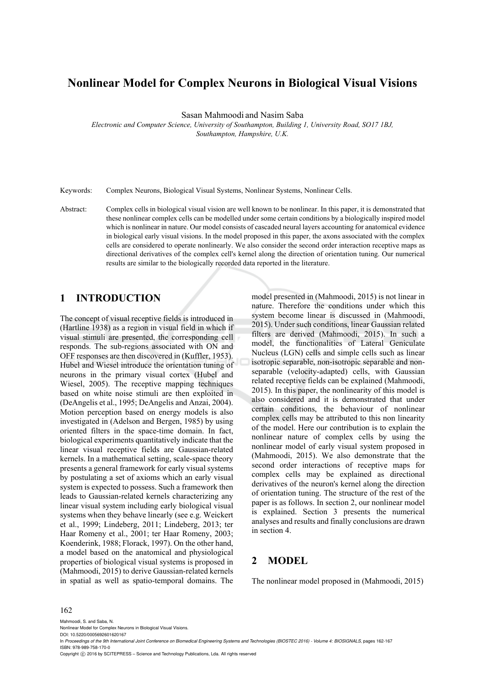# **Nonlinear Model for Complex Neurons in Biological Visual Visions**

Sasan Mahmoodi and Nasim Saba

*Electronic and Computer Science, University of Southampton, Building 1, University Road, SO17 1BJ, Southampton, Hampshire, U.K.* 

Keywords: Complex Neurons, Biological Visual Systems, Nonlinear Systems, Nonlinear Cells.

Abstract: Complex cells in biological visual vision are well known to be nonlinear. In this paper, it is demonstrated that these nonlinear complex cells can be modelled under some certain conditions by a biologically inspired model which is nonlinear in nature. Our model consists of cascaded neural layers accounting for anatomical evidence in biological early visual visions. In the model proposed in this paper, the axons associated with the complex cells are considered to operate nonlinearly. We also consider the second order interaction receptive maps as directional derivatives of the complex cell's kernel along the direction of orientation tuning. Our numerical results are similar to the biologically recorded data reported in the literature.

## **1 INTRODUCTION**

The concept of visual receptive fields is introduced in (Hartline 1938) as a region in visual field in which if visual stimuli are presented, the corresponding cell responds. The sub-regions associated with ON and OFF responses are then discovered in (Kuffler, 1953). Hubel and Wiesel introduce the orientation tuning of neurons in the primary visual cortex (Hubel and Wiesel, 2005). The receptive mapping techniques based on white noise stimuli are then exploited in (DeAngelis et al., 1995; DeAngelis and Anzai, 2004). Motion perception based on energy models is also investigated in (Adelson and Bergen, 1985) by using oriented filters in the space-time domain. In fact, biological experiments quantitatively indicate that the linear visual receptive fields are Gaussian-related kernels. In a mathematical setting, scale-space theory presents a general framework for early visual systems by postulating a set of axioms which an early visual system is expected to possess. Such a framework then leads to Gaussian-related kernels characterizing any linear visual system including early biological visual systems when they behave linearly (see e.g. Weickert et al., 1999; Lindeberg, 2011; Lindeberg, 2013; ter Haar Romeny et al., 2001; ter Haar Romeny, 2003; Koenderink, 1988; Florack, 1997). On the other hand, a model based on the anatomical and physiological properties of biological visual systems is proposed in (Mahmoodi, 2015) to derive Gaussian-related kernels in spatial as well as spatio-temporal domains. The

model presented in (Mahmoodi, 2015) is not linear in nature. Therefore the conditions under which this system become linear is discussed in (Mahmoodi, 2015). Under such conditions, linear Gaussian related filters are derived (Mahmoodi, 2015). In such a model, the functionalities of Lateral Geniculate Nucleus (LGN) cells and simple cells such as linear isotropic separable, non-isotropic separable and nonseparable (velocity-adapted) cells, with Gaussian related receptive fields can be explained (Mahmoodi, 2015). In this paper, the nonlinearity of this model is also considered and it is demonstrated that under certain conditions, the behaviour of nonlinear complex cells may be attributed to this non linearity of the model. Here our contribution is to explain the nonlinear nature of complex cells by using the nonlinear model of early visual system proposed in (Mahmoodi, 2015). We also demonstrate that the second order interactions of receptive maps for complex cells may be explained as directional derivatives of the neuron's kernel along the direction of orientation tuning. The structure of the rest of the paper is as follows. In section 2, our nonlinear model is explained. Section 3 presents the numerical analyses and results and finally conclusions are drawn in section 4.

## **2 MODEL**

The nonlinear model proposed in (Mahmoodi, 2015)

#### 162

Mahmoodi, S. and Saba, N.

Nonlinear Model for Complex Neurons in Biological Visual Visions. DOI: 10.5220/0005692601620167

In *Proceedings of the 9th International Joint Conference on Biomedical Engineering Systems and Technologies (BIOSTEC 2016) - Volume 4: BIOSIGNALS*, pages 162-167 ISBN: 978-989-758-170-0

Copyright © 2016 by SCITEPRESS - Science and Technology Publications, Lda. All rights reserved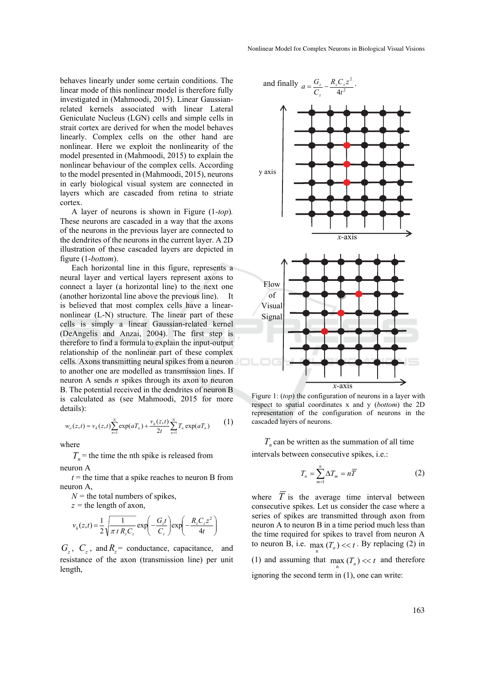behaves linearly under some certain conditions. The linear mode of this nonlinear model is therefore fully investigated in (Mahmoodi, 2015). Linear Gaussianrelated kernels associated with linear Lateral Geniculate Nucleus (LGN) cells and simple cells in strait cortex are derived for when the model behaves linearly. Complex cells on the other hand are nonlinear. Here we exploit the nonlinearity of the model presented in (Mahmoodi, 2015) to explain the nonlinear behaviour of the complex cells. According to the model presented in (Mahmoodi, 2015), neurons in early biological visual system are connected in layers which are cascaded from retina to striate cortex.

A layer of neurons is shown in Figure (1-*top*)*.*  These neurons are cascaded in a way that the axons of the neurons in the previous layer are connected to the dendrites of the neurons in the current layer. A 2D illustration of these cascaded layers are depicted in figure (1-*bottom*).

Each horizontal line in this figure, represents a neural layer and vertical layers represent axons to connect a layer (a horizontal line) to the next one (another horizontal line above the previous line). It is believed that most complex cells have a linearnonlinear (L-N) structure. The linear part of these cells is simply a linear Gaussian-related kernel (DeAngelis and Anzai, 2004). The first step is therefore to find a formula to explain the input-output relationship of the nonlinear part of these complex cells. Axons transmitting neural spikes from a neuron to another one are modelled as transmission lines. If neuron A sends *n* spikes through its axon to neuron B. The potential received in the dendrites of neuron B is calculated as (see Mahmoodi, 2015 for more details):

$$
w_o(z,t) = v_h(z,t) \sum_{n=1}^{N} \exp(aT_n) + \frac{v_h(z,t)}{2t} \sum_{n=1}^{N} T_n \exp(aT_n)
$$
 (1)

where

 $T_n$  = the time the nth spike is released from

neuron A

 $t =$  the time that a spike reaches to neuron B from neuron A

 $N =$  the total numbers of spikes,

*z =* the length of axon,

$$
v_h(z,t) = \frac{1}{2} \sqrt{\frac{1}{\pi t R_z C_z}} \exp\left(-\frac{G_z t}{C_z}\right) \exp\left(-\frac{R_z C_z z^2}{4t}\right)
$$

 $G_z$ ,  $C_z$ , and  $R_z$  = conductance, capacitance, and resistance of the axon (transmission line) per unit length,





Figure 1: (*top*) the configuration of neurons in a layer with respect to spatial coordinates x and y (*bottom*) the 2D representation of the configuration of neurons in the cascaded layers of neurons.

 $T<sub>n</sub>$  can be written as the summation of all time intervals between consecutive spikes, i.e.:

$$
T_n = \sum_{m=1}^n \Delta T_m = n\overline{T}
$$
 (2)

where  $\overline{T}$  is the average time interval between consecutive spikes. Let us consider the case where a series of spikes are transmitted through axon from neuron A to neuron B in a time period much less than the time required for spikes to travel from neuron A to neuron B, i.e.  $\max_{n} (T_n) \ll t$ . By replacing (2) in (1) and assuming that  $\max_{n} (T_n) \ll t$  and therefore ignoring the second term in (1), one can write: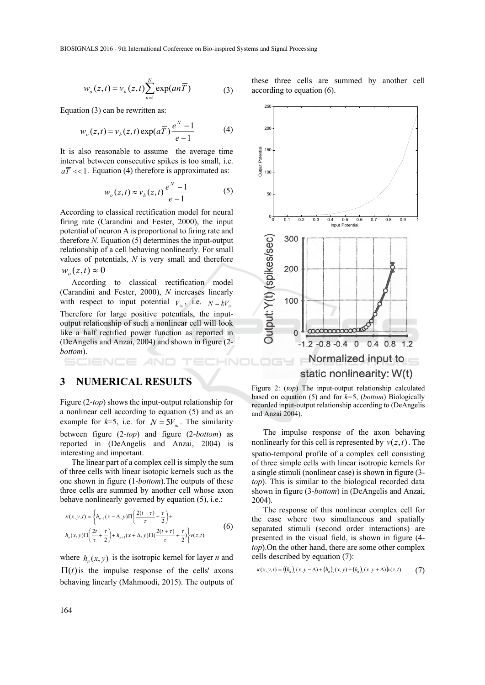$$
w_o(z,t) = v_h(z,t) \sum_{n=1}^{N} \exp(an\overline{T})
$$
 (3)

Equation (3) can be rewritten as:

$$
w_o(z,t) = v_h(z,t) \exp(a\overline{T}) \frac{e^N - 1}{e - 1}
$$
 (4)

It is also reasonable to assume the average time interval between consecutive spikes is too small, i.e.  $a\overline{T} \ll 1$ . Equation (4) therefore is approximated as:

$$
w_o(z,t) \approx v_h(z,t) \frac{e^N - 1}{e - 1} \tag{5}
$$

According to classical rectification model for neural firing rate (Carandini and Fester, 2000), the input potential of neuron A is proportional to firing rate and therefore *N.* Equation (5) determines the input-output relationship of a cell behaving nonlinearly. For small values of potentials, *N* is very small and therefore  $w_o(z,t) \approx 0$ 

According to classical rectification model (Carandini and Fester, 2000), *N* increases linearly with respect to input potential  $V_{in}$ , i.e.  $N = kV_{in}$ Therefore for large positive potentials, the inputoutput relationship of such a nonlinear cell will look like a half rectified power function as reported in (DeAngelis and Anzai, 2004) and shown in figure (2 *bottom*).

AND

### **3 NUMERICAL RESULTS**

Figure (2-*top*) shows the input-output relationship for a nonlinear cell according to equation (5) and as an example for  $k=5$ , i.e. for  $N = 5V_{in}$ . The similarity between figure (2-*top*) and figure (2-*bottom*) as reported in (DeAngelis and Anzai, 2004) is interesting and important.

The linear part of a complex cell is simply the sum of three cells with linear isotopic kernels such as the one shown in figure (1-*bottom*).The outputs of these three cells are summed by another cell whose axon behave nonlinearly governed by equation (5), i.e.:

$$
\kappa(x, y, t) = \left\{ h_{n-1}(x - \Delta, y) \Pi \left( \frac{2(t - \tau)}{\tau} + \frac{\tau}{2} \right) + h_{n+1}(x + \Delta, y) \Pi \left( \frac{2(t + \tau)}{\tau} + \frac{\tau}{2} \right) \right\} \nu(z, t)
$$
(6)

where  $h(x, y)$  is the isotropic kernel for layer *n* and  $\Pi(t)$  is the impulse response of the cells' axons behaving linearly (Mahmoodi, 2015). The outputs of these three cells are summed by another cell according to equation (6).



Figure 2: (*top*) The input-output relationship calculated based on equation (5) and for *k=*5, (*bottom*) Biologically recorded input-output relationship according to (DeAngelis and Anzai 2004).

The impulse response of the axon behaving nonlinearly for this cell is represented by  $v(z,t)$ . The spatio-temporal profile of a complex cell consisting of three simple cells with linear isotropic kernels for a single stimuli (nonlinear case) is shown in figure (3 *top*). This is similar to the biological recorded data shown in figure (3-*bottom*) in (DeAngelis and Anzai, 2004).

The response of this nonlinear complex cell for the case where two simultaneous and spatially separated stimuli (second order interactions) are presented in the visual field, is shown in figure (4 *top*).On the other hand, there are some other complex cells described by equation (7):

$$
\kappa(x, y, t) = ((h_n)_x(x, y - \Delta) + (h_n)_x(x, y) + (h_n)_x(x, y + \Delta))v(z, t)
$$
 (7)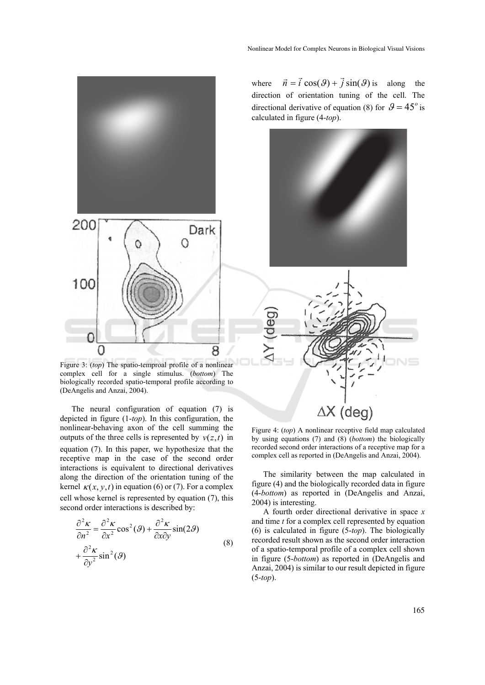

Figure 3: (*top*) The spatio-temproal profile of a nonlinear complex cell for a single stimulus. (*bottom*) The biologically recorded spatio-temporal profile according to (DeAngelis and Anzai, 2004).

The neural configuration of equation (7) is depicted in figure (1-*top*). In this configuration, the nonlinear-behaving axon of the cell summing the outputs of the three cells is represented by  $v(z,t)$  in equation (7). In this paper, we hypothesize that the receptive map in the case of the second order interactions is equivalent to directional derivatives along the direction of the orientation tuning of the kernel  $\kappa(x, y, t)$  in equation (6) or (7). For a complex cell whose kernel is represented by equation (7), this second order interactions is described by:

$$
\frac{\partial^2 \kappa}{\partial n^2} = \frac{\partial^2 \kappa}{\partial x^2} \cos^2(\theta) + \frac{\partial^2 \kappa}{\partial x \partial y} \sin(2\theta)
$$
  
+ 
$$
\frac{\partial^2 \kappa}{\partial y^2} \sin^2(\theta)
$$
 (8)

where  $\vec{n} = \vec{i} \cos(\theta) + \vec{j} \sin(\theta)$  is along the direction of orientation tuning of the cell. The directional derivative of equation (8) for  $\mathcal{G} = 45^\circ$  is calculated in figure (4-*top*).





Figure 4: (*top*) A nonlinear receptive field map calculated by using equations (7) and (8) (*bottom*) the biologically recorded second order interactions of a receptive map for a complex cell as reported in (DeAngelis and Anzai, 2004).

The similarity between the map calculated in figure (4) and the biologically recorded data in figure (4-*bottom*) as reported in (DeAngelis and Anzai, 2004) is interesting.

A fourth order directional derivative in space *x*  and time *t* for a complex cell represented by equation (6) is calculated in figure (5-*top*). The biologically recorded result shown as the second order interaction of a spatio-temporal profile of a complex cell shown in figure (5-*bottom*) as reported in (DeAngelis and Anzai, 2004) is similar to our result depicted in figure (5-*top*).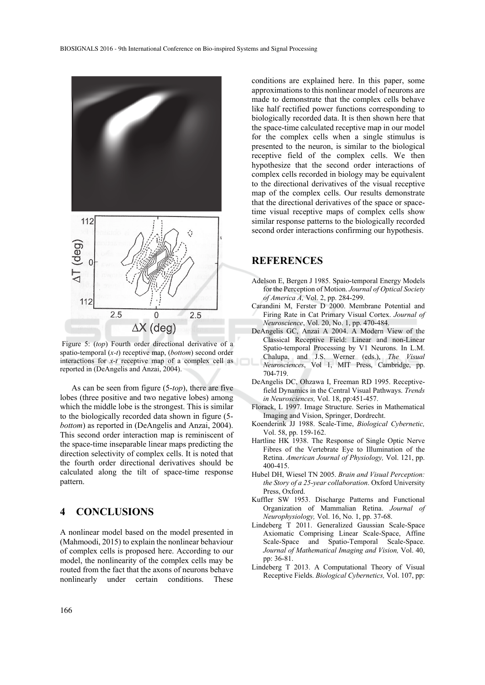

 Figure 5: (*top*) Fourth order directional derivative of a spatio-temporal (*x-t*) receptive map, (*bottom*) second order interactions for *x-t* receptive map of a complex cell as reported in (DeAngelis and Anzai, 2004).

As can be seen from figure (5-*top*), there are five lobes (three positive and two negative lobes) among which the middle lobe is the strongest. This is similar to the biologically recorded data shown in figure (5 *bottom*) as reported in (DeAngelis and Anzai, 2004). This second order interaction map is reminiscent of the space-time inseparable linear maps predicting the direction selectivity of complex cells. It is noted that the fourth order directional derivatives should be calculated along the tilt of space-time response pattern.

## **4 CONCLUSIONS**

A nonlinear model based on the model presented in (Mahmoodi, 2015) to explain the nonlinear behaviour of complex cells is proposed here. According to our model, the nonlinearity of the complex cells may be routed from the fact that the axons of neurons behave nonlinearly under certain conditions. These

conditions are explained here. In this paper, some approximations to this nonlinear model of neurons are made to demonstrate that the complex cells behave like half rectified power functions corresponding to biologically recorded data. It is then shown here that the space-time calculated receptive map in our model for the complex cells when a single stimulus is presented to the neuron, is similar to the biological receptive field of the complex cells. We then hypothesize that the second order interactions of complex cells recorded in biology may be equivalent to the directional derivatives of the visual receptive map of the complex cells. Our results demonstrate that the directional derivatives of the space or spacetime visual receptive maps of complex cells show similar response patterns to the biologically recorded second order interactions confirming our hypothesis.

### **REFERENCES**

- Adelson E, Bergen J 1985. Spaio-temporal Energy Models for the Perception of Motion. *Journal of Optical Society of America A,* Vol. 2, pp. 284-299.
- Carandini M, Ferster D 2000. Membrane Potential and Firing Rate in Cat Primary Visual Cortex. *Journal of Neuroscience*, Vol. 20, No. 1, pp. 470-484.
- DeAngelis GC, Anzai A 2004. A Modern View of the Classical Receptive Field: Linear and non-Linear Spatio-temporal Processing by V1 Neurons. In L.M. Chalupa, and J.S. Werner (eds.), *The Visual Neurosciences*, Vol 1, MIT Press, Cambridge, pp. 704-719.
- DeAngelis DC, Ohzawa I, Freeman RD 1995. Receptivefield Dynamics in the Central Visual Pathways. *Trends in Neurosciences,* Vol. 18, pp:451-457.
- Florack, L 1997. Image Structure. Series in Mathematical Imaging and Vision, Springer, Dordrecht.
- Koenderink JJ 1988. Scale-Time, *Biological Cybernetic,*  Vol. 58, pp. 159-162.
- Hartline HK 1938. The Response of Single Optic Nerve Fibres of the Vertebrate Eye to Illumination of the Retina. *American Journal of Physiology,* Vol. 121, pp. 400-415.
- Hubel DH, Wiesel TN 2005. *Brain and Visual Perception: the Story of a 25-year collaboration*. Oxford University Press, Oxford.
- Kuffler SW 1953. Discharge Patterns and Functional Organization of Mammalian Retina. *Journal of Neurophysiology,* Vol. 16, No. 1, pp. 37-68.
- Lindeberg T 2011. Generalized Gaussian Scale-Space Axiomatic Comprising Linear Scale-Space, Affine Scale-Space and Spatio-Temporal Scale-Space. *Journal of Mathematical Imaging and Vision,* Vol. 40, pp: 36-81.
- Lindeberg T 2013. A Computational Theory of Visual Receptive Fields. *Biological Cybernetics,* Vol. 107, pp: